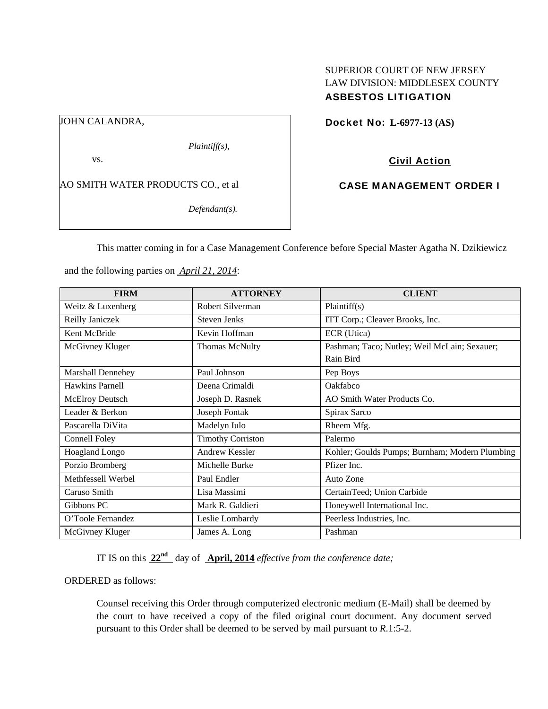# SUPERIOR COURT OF NEW JERSEY LAW DIVISION: MIDDLESEX COUNTY ASBESTOS LITIGATION

JOHN CALANDRA,

vs.

AO SMITH WATER PRODUCTS CO., et al

*Defendant(s).* 

*Plaintiff(s),* 

Docket No: **L-6977-13 (AS)** 

Civil Action

CASE MANAGEMENT ORDER I

This matter coming in for a Case Management Conference before Special Master Agatha N. Dzikiewicz

and the following parties on *April 21, 2014*:

| <b>FIRM</b>            | <b>ATTORNEY</b>          | <b>CLIENT</b>                                  |
|------------------------|--------------------------|------------------------------------------------|
| Weitz & Luxenberg      | Robert Silverman         | Plaintiff(s)                                   |
| Reilly Janiczek        | <b>Steven Jenks</b>      | ITT Corp.; Cleaver Brooks, Inc.                |
| Kent McBride           | Kevin Hoffman            | ECR (Utica)                                    |
| McGivney Kluger        | <b>Thomas McNulty</b>    | Pashman; Taco; Nutley; Weil McLain; Sexauer;   |
|                        |                          | Rain Bird                                      |
| Marshall Dennehey      | Paul Johnson             | Pep Boys                                       |
| Hawkins Parnell        | Deena Crimaldi           | Oakfabco                                       |
| <b>McElroy Deutsch</b> | Joseph D. Rasnek         | AO Smith Water Products Co.                    |
| Leader & Berkon        | Joseph Fontak            | Spirax Sarco                                   |
| Pascarella DiVita      | Madelyn Iulo             | Rheem Mfg.                                     |
| Connell Foley          | <b>Timothy Corriston</b> | Palermo                                        |
| <b>Hoagland Longo</b>  | Andrew Kessler           | Kohler; Goulds Pumps; Burnham; Modern Plumbing |
| Porzio Bromberg        | Michelle Burke           | Pfizer Inc.                                    |
| Methfessell Werbel     | Paul Endler              | Auto Zone                                      |
| Caruso Smith           | Lisa Massimi             | CertainTeed; Union Carbide                     |
| Gibbons PC             | Mark R. Galdieri         | Honeywell International Inc.                   |
| O'Toole Fernandez      | Leslie Lombardy          | Peerless Industries, Inc.                      |
| McGivney Kluger        | James A. Long            | Pashman                                        |

IT IS on this  $22^{nd}$  day of **April, 2014** *effective from the conference date;* 

ORDERED as follows:

Counsel receiving this Order through computerized electronic medium (E-Mail) shall be deemed by the court to have received a copy of the filed original court document. Any document served pursuant to this Order shall be deemed to be served by mail pursuant to *R*.1:5-2.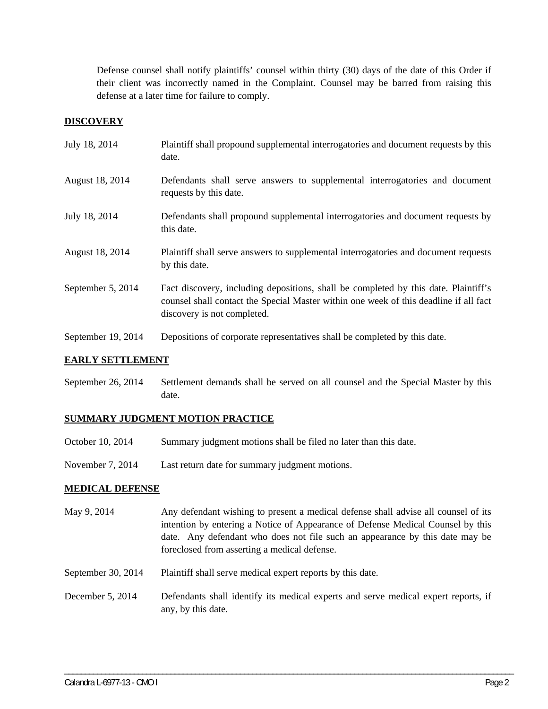Defense counsel shall notify plaintiffs' counsel within thirty (30) days of the date of this Order if their client was incorrectly named in the Complaint. Counsel may be barred from raising this defense at a later time for failure to comply.

## **DISCOVERY**

| July 18, 2014      | Plaintiff shall propound supplemental interrogatories and document requests by this<br>date.                                                                                                                |
|--------------------|-------------------------------------------------------------------------------------------------------------------------------------------------------------------------------------------------------------|
| August 18, 2014    | Defendants shall serve answers to supplemental interrogatories and document<br>requests by this date.                                                                                                       |
| July 18, 2014      | Defendants shall propound supplemental interrogatories and document requests by<br>this date.                                                                                                               |
| August 18, 2014    | Plaintiff shall serve answers to supplemental interrogatories and document requests<br>by this date.                                                                                                        |
| September 5, 2014  | Fact discovery, including depositions, shall be completed by this date. Plaintiff's<br>counsel shall contact the Special Master within one week of this deadline if all fact<br>discovery is not completed. |
| September 19, 2014 | Depositions of corporate representatives shall be completed by this date.                                                                                                                                   |

### **EARLY SETTLEMENT**

September 26, 2014 Settlement demands shall be served on all counsel and the Special Master by this date.

## **SUMMARY JUDGMENT MOTION PRACTICE**

- October 10, 2014 Summary judgment motions shall be filed no later than this date.
- November 7, 2014 Last return date for summary judgment motions.

## **MEDICAL DEFENSE**

- May 9, 2014 Any defendant wishing to present a medical defense shall advise all counsel of its intention by entering a Notice of Appearance of Defense Medical Counsel by this date. Any defendant who does not file such an appearance by this date may be foreclosed from asserting a medical defense.
- September 30, 2014 Plaintiff shall serve medical expert reports by this date.
- December 5, 2014 Defendants shall identify its medical experts and serve medical expert reports, if any, by this date.

\_\_\_\_\_\_\_\_\_\_\_\_\_\_\_\_\_\_\_\_\_\_\_\_\_\_\_\_\_\_\_\_\_\_\_\_\_\_\_\_\_\_\_\_\_\_\_\_\_\_\_\_\_\_\_\_\_\_\_\_\_\_\_\_\_\_\_\_\_\_\_\_\_\_\_\_\_\_\_\_\_\_\_\_\_\_\_\_\_\_\_\_\_\_\_\_\_\_\_\_\_\_\_\_\_\_\_\_\_\_